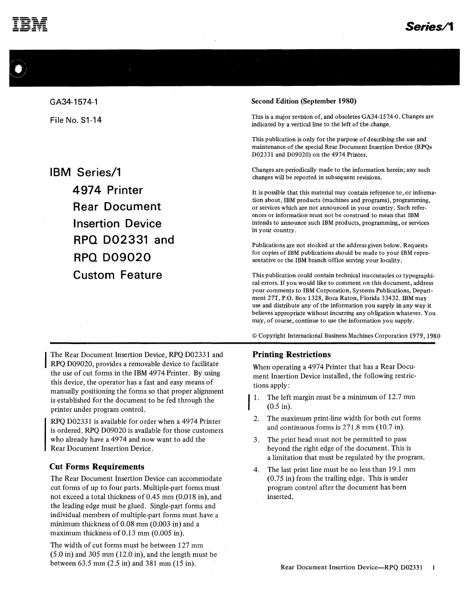

GA34-1574-1 File No. 51-14

# **IBM Series/1**

**4974 Printer Rear Document Insertion Device RPO D02331 and RPO D09020 Custom Feature** 

The Rear Document Insertion Device, RPQ D02331 and RPQ D09020, provides a removable device to facilitate the use of cut forms in the IBM 4974 Printer. By using this device, the operator has a fast and easy means of manually positioning the forms so that proper alignment is established for the document to be fed through the printer under program control.

RPQ D02331 is available for order when a 4974 Printer is ordered. RPQ D09020 is available for those customers who already have a 4974 and now want to add the Rear Document Insertion Device.

# Cut Forms Requirements

- The Rear Document Insertion Device can accommodate cut forms of up to four parts. Multiple-part forms must not exceed a total thickness of 0.45 mm (0.018 in), and the leading edge must be glued. Single-part forms and individual members of multiple-part forms must have a minimum thickness of  $0.08$  mm  $(0.003$  in) and a maximum thickness of 0.13 mm (0.005 in).
- The width of cut forms must be between 127 mm (5.0 in) and 305 mm (12.0 in), and the length must be between 63.5 mm (2.5 in) and 381 mm (15 in).

#### Second Edition (September 1980)

This is a major revision of, and obsoletes GA34-1574-0. Changes are indicated by a vertical line to the left of the change.

This publication is only for the purpose of describing the use and maintenance of the special Rear Document Insertion Device (RPQs D02331 and D09020) on the 4974 Printer.

Changes are periodically made to the information herein; any such changes will be reported in subsequent revisions.

It is possible that this material may contain reference to, or information about, IBM products (machines and programs), programming, or services which are not announced in your country. Such references or information must not be construed to mean that IBM intends to announce such IBM products, programming, or services in your country.

Publications are not stocked at the address given below. Requests for copies of IBM publications should be made to your IBM representative or the IBM branch office serving your locality.

This publication could contain technical inaccuracies or typographical errors. If you would like to comment on this document, address your comments to IBM Corporation, Systems Publications, Department 27T, P.O. Box 1328, Boca Raton, Florida 33432. IBM may use and distribute any of the information you supply in any way it believes appropriate without incurring any obligation whatever. You may, of course, continue to use the information you supply.

© Copyright International Business Machines Corporation 1979, 1980

# Printing Restrictions

When operating a 4974 Printer that has a Rear Document Insertion Device installed, the following restrictions apply:

- The left margin must be a minimum of 12.7 mm  $1<sup>1</sup>$ (0.5 in).
- 2. The maximum print-line width for both cut forms and continuous forms is 271.8 mm (10.7 in).
- 3. The print head must not be permitted to pass beyond the right edge of the document. This is a limitation that must be regulated by the program.
- 4. The last print line must be no less than 19 .1 mm (0.75 in) from the trailing edge. This is under program control after the document has been inserted.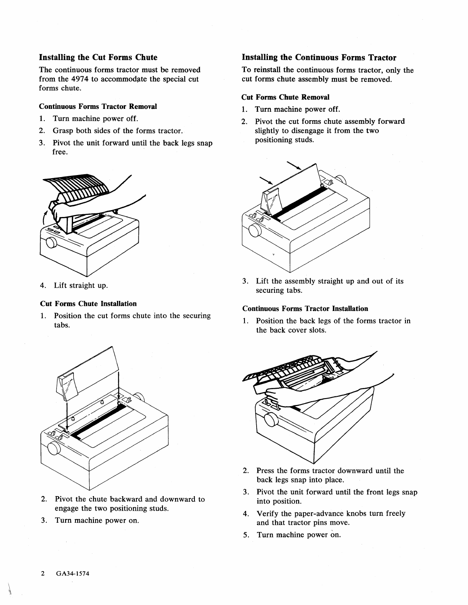# Installing the Cut Forms Chute

The continuous forms tractor must be removed from the 4974 to accommodate the special cut forms chute.

## Continuous Forms Tractor Removal

- 1. Turn machine power off.
- 2. Grasp both sides of the forms tractor.
- 3. Pivot the unit forward until the back legs snap free.



4. Lift straight up.

# Cut Forms Chute Installation

1. Position the cut forms chute into the securing tabs.



- 2. Pivot the chute backward and downward to engage the two positioning studs.
- 3. Turn machine power on.

# Installing the Continuous Forms Tractor

To reinstall the continuous forms tractor, only the cut forms chute assembly must be removed.

#### Cut Forms Chute Removal

- 1. Turn machine power off.
- 2. Pivot the cut forms chute assembly forward slightly to disengage it from the two positioning studs.



3. Lift the assembly straight up and out of its securing tabs.

### Continuous Forms Tractor Installation

1. Position the back legs of the forms tractor in the back cover slots.



- 2. Press the forms tractor downward until the back legs snap into place.
- 3. Pivot the unit forward until the front legs snap into position.
- 4. Verify the paper-advance knobs turn freely and that tractor pins move.
- 5. Turn machine power on.

·~ I\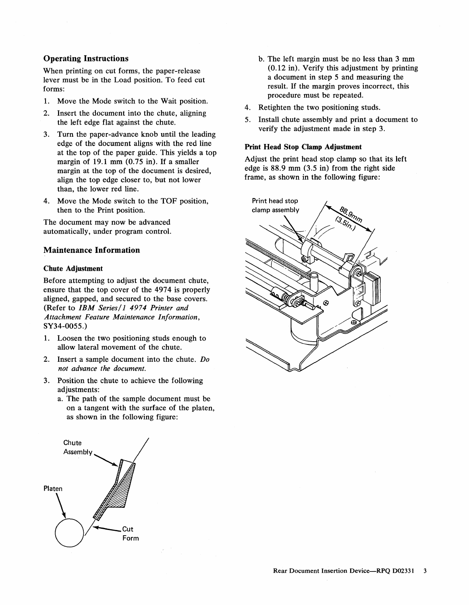# **Operating Instructions**

When printing on cut forms, the paper-release lever must be in the Load position. To feed cut forms:

- 1. Move the Mode switch to the Wait position.
- 2. Insert the document into the chute, aligning the left edge flat against the chute.
- 3. Turn the paper-advance knob until the leading edge of the document aligns with the red line at the top of the paper guide. This yields a top margin of 19.1 mm (0.75 in). If a smaller margin at the top of the document is desired, align the top edge closer to, but not lower than, the lower red line.
- 4. Move the Mode switch to the TOF position, then to the Print position.

The document may now be advanced automatically, under program control.

#### **Maintenance Information**

#### **Chute Adjustment**

Before attempting to adjust the document chute, ensure that the top cover of the 4974 is properly aligned, gapped, and secured to the base covers. (Refer to *IBM Series/ 1 4974 Printer and Attachment Feature Maintenance Information,*  SY34-0055.)

- 1. Loosen the two positioning studs enough to allow lateral movement of the chute.
- 2. Insert a sample document into the chute. *Do not advance the document.*
- 3. Position the chute to achieve the following adjustments:
	- a. The path of the sample document must be on a tangent with the surface of the platen, as shown in the following figure:



- b. The left margin must be no less than 3 mm (0.12 in). Verify this adjustment by printing a document in step 5 and measuring the result. If the margin proves incorrect, this procedure must be repeated.
- 4. Retighten the two positioning studs.
- 5. Install chute assembly and print a document to verify the adjustment made in step 3.

#### **Print Head Stop Clamp Adjustment**

Adjust the print head stop clamp so that its left edge is 88.9 mm (3.5 in) from the right side frame, as shown in the following figure: